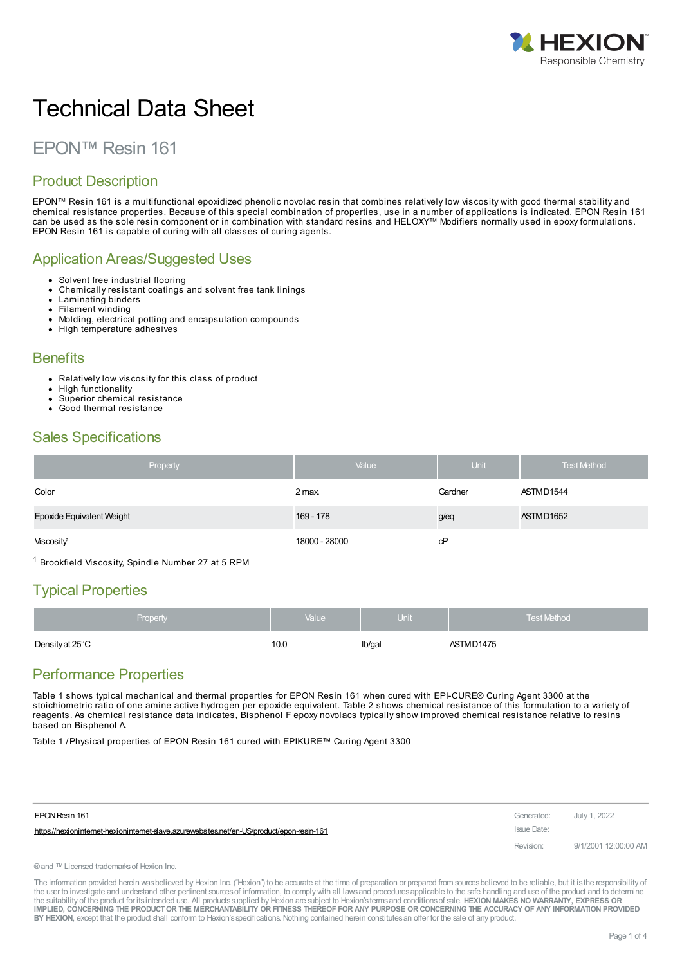

# Technical Data Sheet

# EPON™ Resin 161

## Product Description

EPON™ Resin 161 is a multifunctional epoxidized phenolic novolac resin that combines relatively low viscosity with good thermal stability and chemical resistance properties. Because of this special combination of properties, use in a number of applications is indicated. EPON Resin 161 can be used as the sole resin component or in combination with standard resins and HELOXY™ Modifiers normally used in epoxy formulations. EPON Resin 161 is capable of curing with all classes of curing agents.

#### Application Areas/Suggested Uses

- Solvent free industrial flooring
- Chemically resistant coatings and solvent free tank linings
- Laminating binders  $\bullet$
- Filament winding
- Molding, electrical potting and encapsulation compounds
- High temperature adhesives

#### **Benefits**

- Relatively low viscosity for this class of product
- $\bullet$ High functionality
- Superior chemical resistance Good thermal resistance
- 

### Sales Specifications

| Property                  | Value         | <b>Unit</b> | <b>Test Method</b> |
|---------------------------|---------------|-------------|--------------------|
| Color                     | 2 max.        | Gardner     | ASTMD1544          |
| Epoxide Equivalent Weight | 169 - 178     | g/eq        | ASTMD1652          |
| Viscosity <sup>1</sup>    | 18000 - 28000 | cP          |                    |

<sup>1</sup> Brookfield Viscosity, Spindle Number 27 at 5 RPM

# Typical Properties

| <b>Property</b> | Value | <b>Unit</b> | <b>Test Method</b>                                     |
|-----------------|-------|-------------|--------------------------------------------------------|
| Density at 25°C | 10.0  | Ib/gal      | ASTMD1475<br>$\sim$ $\sim$ $\sim$ $\sim$ $\sim$ $\sim$ |

### Performance Properties

Table 1 shows typical mechanical and thermal properties for EPON Resin 161 when cured with EPI-CURE® Curing Agent 3300 at the stoichiometric ratio of one amine active hydrogen per epoxide equivalent. Table 2 shows chemical resistance of this formulation to a variety of reagents. As chemical resistance data indicates, Bisphenol F epoxy novolacs typically show improved chemical resistance relative to resins based on Bisphenol A.

Table 1 /Physical properties of EPON Resin 161 cured with EPIKURE™ Curing Agent 3300

| EPON Resin 161                                                                           | Generated: July 1, 2022 |                      |
|------------------------------------------------------------------------------------------|-------------------------|----------------------|
| https://hexionintemet-hexionintemet-slave.azurewebsites.net/en-US/product/epon-resin-161 | Issue Date:             |                      |
|                                                                                          | Revision:               | 9/1/2001 12:00:00 AM |

®and ™Licensed trademarksof Hexion Inc.

The information provided herein was believed by Hexion Inc. ("Hexion") to be accurate at the time of preparation or prepared from sources believed to be reliable, but it is the responsibility of the user to investigate and understand other pertinent sources of information, to comply with all laws and procedures applicable to the safe handling and use of the product and to determine the suitability of the product for itsintended use. All productssupplied by Hexion are subject to Hexion'stermsand conditionsof sale. **HEXION MAKES NO WARRANTY, EXPRESS OR** IMPLIED, CONCERNING THE PRODUCT OR THE MERCHANTABILITY OR FITNESS THEREOF FOR ANY PURPOSE OR CONCERNING THE ACCURACY OF ANY INFORMATION PROVIDED **BY HEXION**, except that the product shall conform to Hexion'sspecifications. Nothing contained herein constitutesan offer for the sale of any product.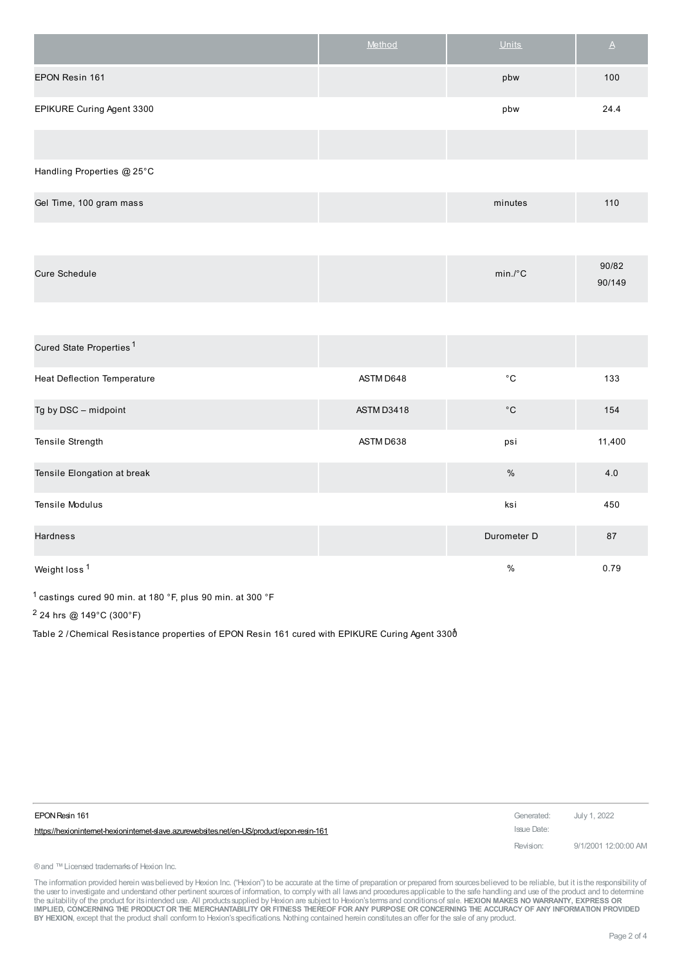|                            | Method | <b>Units</b> | $\triangle$ |
|----------------------------|--------|--------------|-------------|
| EPON Resin 161             |        | pbw          | 100         |
| EPIKURE Curing Agent 3300  |        | pbw          | 24.4        |
|                            |        |              |             |
| Handling Properties @ 25°C |        |              |             |

| Gel Time, 100 gram mass | minutes | 110 |
|-------------------------|---------|-----|
|                         |         |     |

| $min.^{\circ}C$ | 90/82<br>90/149 |
|-----------------|-----------------|
|                 |                 |

| Cured State Properties <sup>1</sup> |            |              |        |
|-------------------------------------|------------|--------------|--------|
| <b>Heat Deflection Temperature</b>  | ASTM D648  | $^{\circ}$ C | 133    |
| Tg by DSC - midpoint                | ASTM D3418 | $^{\circ}$ C | 154    |
| Tensile Strength                    | ASTM D638  | psi          | 11,400 |
| Tensile Elongation at break         |            | $\%$         | 4.0    |
| Tensile Modulus                     |            | ksi          | 450    |
| Hardness                            |            | Durometer D  | 87     |
| Weight loss <sup>1</sup>            |            | $\%$         | 0.79   |

1 castings cured 90 min. at 180 °F, plus 90 min. at 300 °F

2 24 hrs @ 149°C (300°F)

Table 2 / Chemical Resistance properties of EPON Resin 161 cured with EPIKURE Curing Agent 330 $\acute{\text{o}}$ 

| EPON Resin 161                                                                             | Generated: July 1, 2022 |                      |
|--------------------------------------------------------------------------------------------|-------------------------|----------------------|
| https://hexioninternet-hexioninternet-slave.azurewebsites.net/en-US/product/epon-resin-161 | Issue Date:             |                      |
|                                                                                            | Revision:               | 9/1/2001 12:00:00 AM |

® and ™ Licensed trademarks of Hexion Inc.

The information provided herein was believed by Hexion Inc. ("Hexion") to be accurate at the time of preparation or prepared from sources believed to be reliable, but it is the responsibility of the user to investigate and understand other pertinent sources of information, to comply with all laws and procedures applicable to the safe handling and use of the product and to determine<br>the suitability of the product f IMPLIED, CONCERNING THE PRODUCT OR THE MERCHANTABILITY OR FITNESS THEREOF FOR ANY PURPOSE OR CONCERNING THE ACCURACY OF ANY INFORMATION PROVIDED **BY HEXION**, except that the product shall conform to Hexion'sspecifications. Nothing contained herein constitutesan offer for the sale of any product.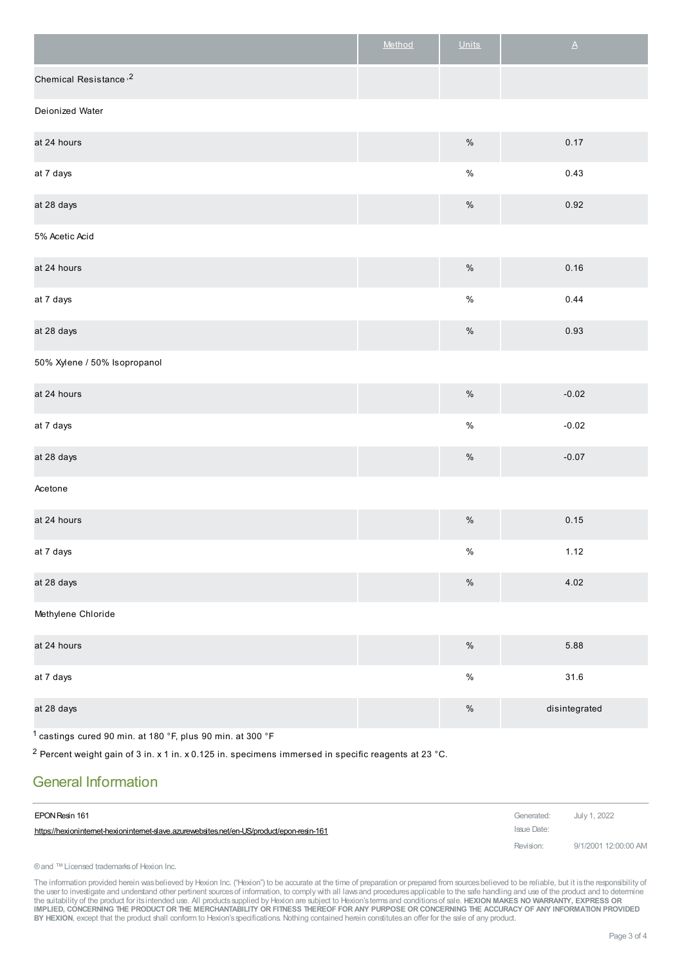|                                                                       | Method | <b>Units</b> | $\Delta$      |
|-----------------------------------------------------------------------|--------|--------------|---------------|
| Chemical Resistance <sup>,2</sup>                                     |        |              |               |
| Deionized Water                                                       |        |              |               |
| at 24 hours                                                           |        | $\%$         | 0.17          |
| at 7 days                                                             |        | $\%$         | 0.43          |
| at 28 days                                                            |        | $\%$         | 0.92          |
| 5% Acetic Acid                                                        |        |              |               |
| at 24 hours                                                           |        | $\%$         | 0.16          |
| at 7 days                                                             |        | $\%$         | 0.44          |
| at 28 days                                                            |        | $\%$         | 0.93          |
| 50% Xylene / 50% Isopropanol                                          |        |              |               |
| at 24 hours                                                           |        | $\%$         | $-0.02$       |
| at 7 days                                                             |        | $\%$         | $-0.02$       |
| at 28 days                                                            |        | $\%$         | $-0.07$       |
| Acetone                                                               |        |              |               |
| at 24 hours                                                           |        | $\%$         | 0.15          |
| at 7 days                                                             |        | $\%$         | 1.12          |
| at 28 days                                                            |        | $\%$         | 4.02          |
| Methylene Chloride                                                    |        |              |               |
| at 24 hours                                                           |        | $\%$         | 5.88          |
| at 7 days                                                             |        | $\%$         | $31.6\,$      |
| at 28 days                                                            |        | $\%$         | disintegrated |
| <sup>1</sup> castings cured 90 min. at 180 °F, plus 90 min. at 300 °F |        |              |               |

<sup>2</sup> Percent weight gain of 3 in. x 1 in. x 0.125 in. specimens immersed in specific reagents at 23 °C.

## General Information

| EPON Resin 161                                                                             | Generated: July 1, 2022 |                      |
|--------------------------------------------------------------------------------------------|-------------------------|----------------------|
| https://hexioninternet-hexioninternet-slave.azurewebsites.net/en-US/product/epon-resin-161 | Issue Date:             |                      |
|                                                                                            | Revision:               | 9/1/2001 12:00:00 AM |

® and ™ Licensed trademarks of Hexion Inc.

The information provided herein wasbelieved by Hexion Inc. ("Hexion") to be accurate at the time of preparation or prepared from sources believed to be reliable, but it is the responsibility of<br>the user to investigate and IMPLIED, CONCERNING THE PRODUCT OR THE MERCHANTABILITY OR FITNESS THEREOF FOR ANY PURPOSE OR CONCERNING THE ACCURACY OF ANY INFORMATION PROVIDED **BY HEXION**, except that the product shall conform to Hexion'sspecifications. Nothing contained herein constitutesan offer for the sale of any product.